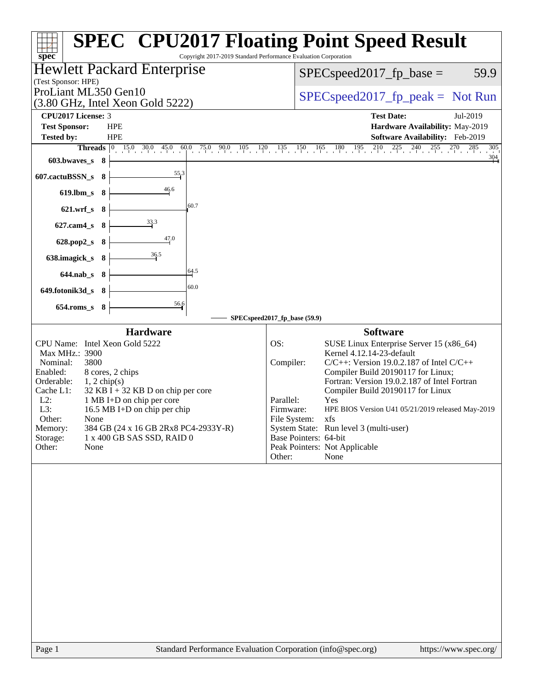| <b>SPEC<sup>®</sup> CPU2017 Floating Point Speed Result</b><br>Copyright 2017-2019 Standard Performance Evaluation Corporation<br>$spec^*$                                                                                                                                                                                                                                                                                         |                                                                                                                                                                                                                                                                                                                                                                                                                                                                                                                      |
|------------------------------------------------------------------------------------------------------------------------------------------------------------------------------------------------------------------------------------------------------------------------------------------------------------------------------------------------------------------------------------------------------------------------------------|----------------------------------------------------------------------------------------------------------------------------------------------------------------------------------------------------------------------------------------------------------------------------------------------------------------------------------------------------------------------------------------------------------------------------------------------------------------------------------------------------------------------|
| Hewlett Packard Enterprise<br>(Test Sponsor: HPE)                                                                                                                                                                                                                                                                                                                                                                                  | 59.9<br>$SPEC speed2017_fp\_base =$                                                                                                                                                                                                                                                                                                                                                                                                                                                                                  |
| ProLiant ML350 Gen10<br>$(3.80 \text{ GHz}, \text{Intel Xeon Gold } 5222)$                                                                                                                                                                                                                                                                                                                                                         | $SPEC speed2017fr peak = Not Run$                                                                                                                                                                                                                                                                                                                                                                                                                                                                                    |
| CPU2017 License: 3<br><b>Test Sponsor:</b><br><b>HPE</b><br><b>Tested by:</b><br><b>HPE</b>                                                                                                                                                                                                                                                                                                                                        | <b>Test Date:</b><br>Jul-2019<br>Hardware Availability: May-2019<br>Software Availability: Feb-2019                                                                                                                                                                                                                                                                                                                                                                                                                  |
| <b>Threads</b> $\begin{bmatrix} 0 & 15.0 & 30.0 & 45.0 \end{bmatrix}$<br>60.0<br>603.bwaves_s 8                                                                                                                                                                                                                                                                                                                                    | $\frac{1}{25}$ , $\frac{90}{10}$ , $\frac{105}{10}$ , $\frac{120}{10}$ , $\frac{135}{10}$ , $\frac{150}{10}$ , $\frac{165}{10}$ , $\frac{180}{10}$ , $\frac{195}{10}$ , $\frac{210}{10}$ , $\frac{225}{10}$ , $\frac{240}{10}$ , $\frac{255}{10}$ , $\frac{270}{10}$ , $\frac{285}{10}$<br>$\frac{304}{4}$                                                                                                                                                                                                           |
| $55^{3}$<br>607.cactuBSSN_s<br>- 8<br>46.6<br>$619.$ lbm_s<br>8                                                                                                                                                                                                                                                                                                                                                                    |                                                                                                                                                                                                                                                                                                                                                                                                                                                                                                                      |
| 60.7<br>621.wrf_s 8                                                                                                                                                                                                                                                                                                                                                                                                                |                                                                                                                                                                                                                                                                                                                                                                                                                                                                                                                      |
| $\frac{33.3}{7}$<br>627.cam4_s<br>8<br>$\frac{47.0}{4}$<br>628.pop2_s<br>- 8                                                                                                                                                                                                                                                                                                                                                       |                                                                                                                                                                                                                                                                                                                                                                                                                                                                                                                      |
| 36.5<br>638.imagick_s 8<br>64.5<br>644.nab_s 8                                                                                                                                                                                                                                                                                                                                                                                     |                                                                                                                                                                                                                                                                                                                                                                                                                                                                                                                      |
| 60.0<br>649.fotonik3d_s 8                                                                                                                                                                                                                                                                                                                                                                                                          |                                                                                                                                                                                                                                                                                                                                                                                                                                                                                                                      |
| $\frac{56.6}{ }$<br>$654$ .roms_s<br>- 8<br>SPECspeed2017_fp_base (59.9)                                                                                                                                                                                                                                                                                                                                                           |                                                                                                                                                                                                                                                                                                                                                                                                                                                                                                                      |
| <b>Hardware</b><br>CPU Name: Intel Xeon Gold 5222<br>OS:<br>Max MHz.: 3900<br>3800<br>Nominal:<br>Enabled:<br>8 cores, 2 chips<br>Orderable:<br>$1, 2$ chip(s)<br>$32$ KB I + 32 KB D on chip per core<br>Cache L1:<br>$L2$ :<br>1 MB I+D on chip per core<br>L3:<br>16.5 MB I+D on chip per chip<br>None<br>Other:<br>Memory:<br>384 GB (24 x 16 GB 2Rx8 PC4-2933Y-R)<br>Storage:<br>1 x 400 GB SAS SSD, RAID 0<br>Other:<br>None | <b>Software</b><br>SUSE Linux Enterprise Server 15 (x86_64)<br>Kernel 4.12.14-23-default<br>$C/C++$ : Version 19.0.2.187 of Intel $C/C++$<br>Compiler:<br>Compiler Build 20190117 for Linux;<br>Fortran: Version 19.0.2.187 of Intel Fortran<br>Compiler Build 20190117 for Linux<br>Parallel:<br>Yes<br>Firmware:<br>HPE BIOS Version U41 05/21/2019 released May-2019<br>File System:<br>xfs<br>System State: Run level 3 (multi-user)<br>Base Pointers: 64-bit<br>Peak Pointers: Not Applicable<br>Other:<br>None |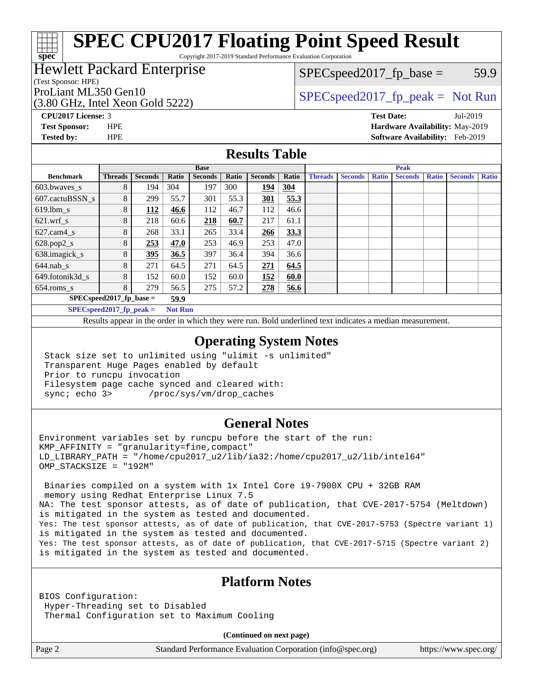# **[SPEC CPU2017 Floating Point Speed Result](http://www.spec.org/auto/cpu2017/Docs/result-fields.html#SPECCPU2017FloatingPointSpeedResult)**

Copyright 2017-2019 Standard Performance Evaluation Corporation

### Hewlett Packard Enterprise

(Test Sponsor: HPE)

**[spec](http://www.spec.org/)**

 $SPEC speed2017_fp\_base = 59.9$ 

(3.80 GHz, Intel Xeon Gold 5222)

ProLiant ML350 Gen10  $SPEC speed2017$  fp\_peak = Not Run

**[CPU2017 License:](http://www.spec.org/auto/cpu2017/Docs/result-fields.html#CPU2017License)** 3 **[Test Date:](http://www.spec.org/auto/cpu2017/Docs/result-fields.html#TestDate)** Jul-2019 **[Test Sponsor:](http://www.spec.org/auto/cpu2017/Docs/result-fields.html#TestSponsor)** HPE **[Hardware Availability:](http://www.spec.org/auto/cpu2017/Docs/result-fields.html#HardwareAvailability)** May-2019 **[Tested by:](http://www.spec.org/auto/cpu2017/Docs/result-fields.html#Testedby)** HPE **[Software Availability:](http://www.spec.org/auto/cpu2017/Docs/result-fields.html#SoftwareAvailability)** Feb-2019

#### **[Results Table](http://www.spec.org/auto/cpu2017/Docs/result-fields.html#ResultsTable)**

|                                    | <b>Base</b>    |                |                |                |       | <b>Peak</b>    |       |                |                |              |                |              |                |              |
|------------------------------------|----------------|----------------|----------------|----------------|-------|----------------|-------|----------------|----------------|--------------|----------------|--------------|----------------|--------------|
| <b>Benchmark</b>                   | <b>Threads</b> | <b>Seconds</b> | Ratio          | <b>Seconds</b> | Ratio | <b>Seconds</b> | Ratio | <b>Threads</b> | <b>Seconds</b> | <b>Ratio</b> | <b>Seconds</b> | <b>Ratio</b> | <b>Seconds</b> | <b>Ratio</b> |
| 603.bwayes s                       | 8              | 194            | 304            | 197            | 300   | 194            | 304   |                |                |              |                |              |                |              |
| 607.cactuBSSN s                    | 8              | 299            | 55.7           | 301            | 55.3  | <b>301</b>     | 55.3  |                |                |              |                |              |                |              |
| $619.1$ bm s                       | 8              | 112            | 46.6           | 112            | 46.7  | 112            | 46.6  |                |                |              |                |              |                |              |
| $621.wrf$ s                        | 8              | 218            | 60.6           | 218            | 60.7  | 217            | 61.1  |                |                |              |                |              |                |              |
| $627$ .cam $4$ <sub>s</sub>        | 8              | 268            | 33.1           | 265            | 33.4  | <u>266</u>     | 33.3  |                |                |              |                |              |                |              |
| $628.pop2_s$                       | 8              | 253            | 47.0           | 253            | 46.9  | 253            | 47.0  |                |                |              |                |              |                |              |
| 638.imagick_s                      | 8              | 395            | 36.5           | 397            | 36.4  | 394            | 36.6  |                |                |              |                |              |                |              |
| $644$ .nab s                       | 8              | 271            | 64.5           | 271            | 64.5  | 271            | 64.5  |                |                |              |                |              |                |              |
| 649.fotonik3d s                    | 8              | 152            | 60.0           | 152            | 60.0  | 152            | 60.0  |                |                |              |                |              |                |              |
| $654$ .roms s                      | 8              | 279            | 56.5           | 275            | 57.2  | 278            | 56.6  |                |                |              |                |              |                |              |
| $SPEC speed2017$ fp base =<br>59.9 |                |                |                |                |       |                |       |                |                |              |                |              |                |              |
| $SPECspeed2017_fp\_peak =$         |                |                | <b>Not Run</b> |                |       |                |       |                |                |              |                |              |                |              |

Results appear in the [order in which they were run.](http://www.spec.org/auto/cpu2017/Docs/result-fields.html#RunOrder) Bold underlined text [indicates a median measurement](http://www.spec.org/auto/cpu2017/Docs/result-fields.html#Median).

#### **[Operating System Notes](http://www.spec.org/auto/cpu2017/Docs/result-fields.html#OperatingSystemNotes)**

 Stack size set to unlimited using "ulimit -s unlimited" Transparent Huge Pages enabled by default Prior to runcpu invocation Filesystem page cache synced and cleared with: sync; echo 3> /proc/sys/vm/drop\_caches

#### **[General Notes](http://www.spec.org/auto/cpu2017/Docs/result-fields.html#GeneralNotes)**

Environment variables set by runcpu before the start of the run:  $KMP$  AFFINITY = "granularity=fine, compact" LD\_LIBRARY\_PATH = "/home/cpu2017\_u2/lib/ia32:/home/cpu2017\_u2/lib/intel64" OMP\_STACKSIZE = "192M"

 Binaries compiled on a system with 1x Intel Core i9-7900X CPU + 32GB RAM memory using Redhat Enterprise Linux 7.5 NA: The test sponsor attests, as of date of publication, that CVE-2017-5754 (Meltdown) is mitigated in the system as tested and documented. Yes: The test sponsor attests, as of date of publication, that CVE-2017-5753 (Spectre variant 1) is mitigated in the system as tested and documented. Yes: The test sponsor attests, as of date of publication, that CVE-2017-5715 (Spectre variant 2) is mitigated in the system as tested and documented.

#### **[Platform Notes](http://www.spec.org/auto/cpu2017/Docs/result-fields.html#PlatformNotes)**

BIOS Configuration: Hyper-Threading set to Disabled Thermal Configuration set to Maximum Cooling

**(Continued on next page)**

Page 2 Standard Performance Evaluation Corporation [\(info@spec.org\)](mailto:info@spec.org) <https://www.spec.org/>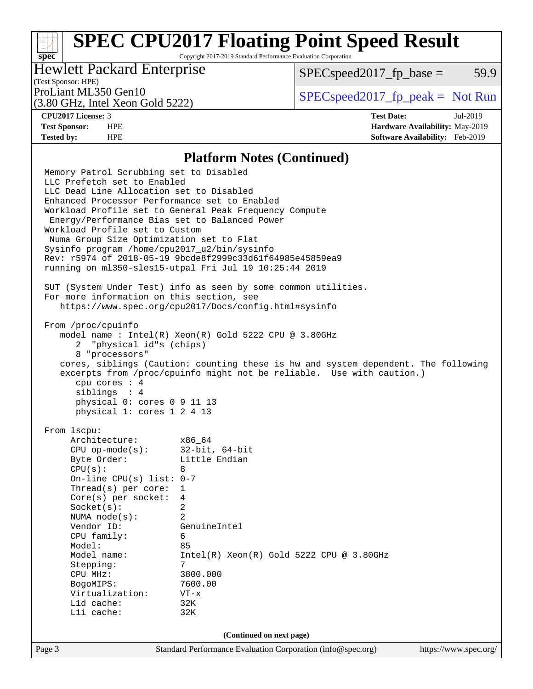# **[SPEC CPU2017 Floating Point Speed Result](http://www.spec.org/auto/cpu2017/Docs/result-fields.html#SPECCPU2017FloatingPointSpeedResult)**

Copyright 2017-2019 Standard Performance Evaluation Corporation

### Hewlett Packard Enterprise

 $SPEC speed2017<sub>fp</sub> base = 59.9$ 

### (Test Sponsor: HPE)

(3.80 GHz, Intel Xeon Gold 5222)

ProLiant ML350 Gen10  $SPEC speed2017$  [p\_peak = Not Run

**[spec](http://www.spec.org/)**

**[CPU2017 License:](http://www.spec.org/auto/cpu2017/Docs/result-fields.html#CPU2017License)** 3 **[Test Date:](http://www.spec.org/auto/cpu2017/Docs/result-fields.html#TestDate)** Jul-2019 **[Test Sponsor:](http://www.spec.org/auto/cpu2017/Docs/result-fields.html#TestSponsor)** HPE **[Hardware Availability:](http://www.spec.org/auto/cpu2017/Docs/result-fields.html#HardwareAvailability)** May-2019 **[Tested by:](http://www.spec.org/auto/cpu2017/Docs/result-fields.html#Testedby)** HPE **[Software Availability:](http://www.spec.org/auto/cpu2017/Docs/result-fields.html#SoftwareAvailability)** Feb-2019

#### **[Platform Notes \(Continued\)](http://www.spec.org/auto/cpu2017/Docs/result-fields.html#PlatformNotes)**

Page 3 Standard Performance Evaluation Corporation [\(info@spec.org\)](mailto:info@spec.org) <https://www.spec.org/> Memory Patrol Scrubbing set to Disabled LLC Prefetch set to Enabled LLC Dead Line Allocation set to Disabled Enhanced Processor Performance set to Enabled Workload Profile set to General Peak Frequency Compute Energy/Performance Bias set to Balanced Power Workload Profile set to Custom Numa Group Size Optimization set to Flat Sysinfo program /home/cpu2017\_u2/bin/sysinfo Rev: r5974 of 2018-05-19 9bcde8f2999c33d61f64985e45859ea9 running on ml350-sles15-utpal Fri Jul 19 10:25:44 2019 SUT (System Under Test) info as seen by some common utilities. For more information on this section, see <https://www.spec.org/cpu2017/Docs/config.html#sysinfo> From /proc/cpuinfo model name : Intel(R) Xeon(R) Gold 5222 CPU @ 3.80GHz 2 "physical id"s (chips) 8 "processors" cores, siblings (Caution: counting these is hw and system dependent. The following excerpts from /proc/cpuinfo might not be reliable. Use with caution.) cpu cores : 4 siblings : 4 physical 0: cores 0 9 11 13 physical 1: cores 1 2 4 13 From lscpu: Architecture: x86\_64 CPU op-mode(s): 32-bit, 64-bit Byte Order: Little Endian  $CPU(s):$  8 On-line CPU(s) list: 0-7 Thread(s) per core: 1 Core(s) per socket: 4 Socket(s): 2 NUMA node(s): 2 Vendor ID: GenuineIntel CPU family: 6 Model: 85 Model name: Intel(R) Xeon(R) Gold 5222 CPU @ 3.80GHz Stepping: CPU MHz: 3800.000 BogoMIPS: 7600.00 Virtualization: VT-x L1d cache: 32K L1i cache: 32K **(Continued on next page)**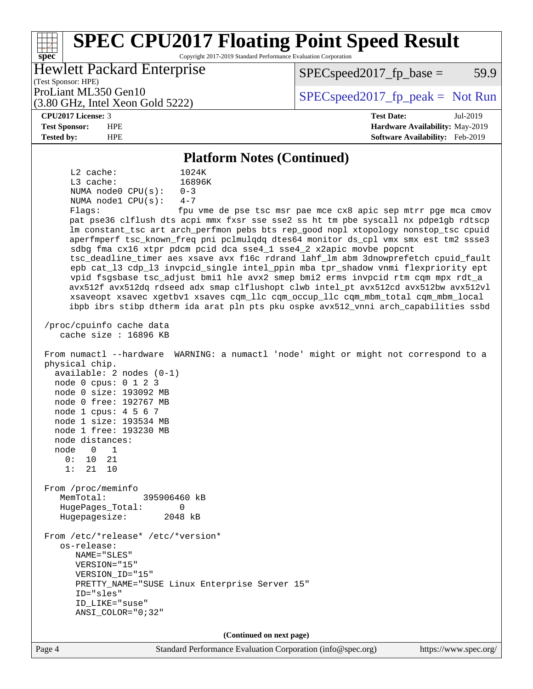#### **[spec](http://www.spec.org/) [SPEC CPU2017 Floating Point Speed Result](http://www.spec.org/auto/cpu2017/Docs/result-fields.html#SPECCPU2017FloatingPointSpeedResult)** Copyright 2017-2019 Standard Performance Evaluation Corporation (Test Sponsor: HPE) Hewlett Packard Enterprise (3.80 GHz, Intel Xeon Gold 5222) ProLiant ML350 Gen10  $SPEC speed2017$  [p\_peak = Not Run  $SPEC speed2017_fp\_base = 59.9$ **[CPU2017 License:](http://www.spec.org/auto/cpu2017/Docs/result-fields.html#CPU2017License)** 3 **[Test Date:](http://www.spec.org/auto/cpu2017/Docs/result-fields.html#TestDate)** Jul-2019 **[Test Sponsor:](http://www.spec.org/auto/cpu2017/Docs/result-fields.html#TestSponsor)** HPE **[Hardware Availability:](http://www.spec.org/auto/cpu2017/Docs/result-fields.html#HardwareAvailability)** May-2019 **[Tested by:](http://www.spec.org/auto/cpu2017/Docs/result-fields.html#Testedby)** HPE **[Software Availability:](http://www.spec.org/auto/cpu2017/Docs/result-fields.html#SoftwareAvailability)** Feb-2019 **[Platform Notes \(Continued\)](http://www.spec.org/auto/cpu2017/Docs/result-fields.html#PlatformNotes)** L2 cache: 1024K L3 cache:  $16896K$ <br>NUMA node0 CPU(s):  $0-3$ NUMA node0 CPU(s): NUMA node1 CPU(s): 4-7 Flags: fpu vme de pse tsc msr pae mce cx8 apic sep mtrr pge mca cmov pat pse36 clflush dts acpi mmx fxsr sse sse2 ss ht tm pbe syscall nx pdpe1gb rdtscp lm constant\_tsc art arch\_perfmon pebs bts rep\_good nopl xtopology nonstop\_tsc cpuid aperfmperf tsc\_known\_freq pni pclmulqdq dtes64 monitor ds\_cpl vmx smx est tm2 ssse3 sdbg fma cx16 xtpr pdcm pcid dca sse4\_1 sse4\_2 x2apic movbe popcnt tsc\_deadline\_timer aes xsave avx f16c rdrand lahf\_lm abm 3dnowprefetch cpuid\_fault epb cat\_l3 cdp\_l3 invpcid\_single intel\_ppin mba tpr\_shadow vnmi flexpriority ept vpid fsgsbase tsc\_adjust bmi1 hle avx2 smep bmi2 erms invpcid rtm cqm mpx rdt\_a avx512f avx512dq rdseed adx smap clflushopt clwb intel\_pt avx512cd avx512bw avx512vl xsaveopt xsavec xgetbv1 xsaves cqm\_llc cqm\_occup\_llc cqm\_mbm\_total cqm\_mbm\_local ibpb ibrs stibp dtherm ida arat pln pts pku ospke avx512\_vnni arch\_capabilities ssbd /proc/cpuinfo cache data cache size : 16896 KB From numactl --hardware WARNING: a numactl 'node' might or might not correspond to a physical chip. available: 2 nodes (0-1) node 0 cpus: 0 1 2 3 node 0 size: 193092 MB node 0 free: 192767 MB node 1 cpus: 4 5 6 7 node 1 size: 193534 MB node 1 free: 193230 MB node distances: node 0 1 0: 10 21 1: 21 10 From /proc/meminfo MemTotal: 395906460 kB HugePages\_Total: 0 Hugepagesize: 2048 kB From /etc/\*release\* /etc/\*version\* os-release: NAME="SLES" VERSION="15" VERSION\_ID="15" PRETTY\_NAME="SUSE Linux Enterprise Server 15" ID="sles" ID\_LIKE="suse" ANSI\_COLOR="0;32" **(Continued on next page)**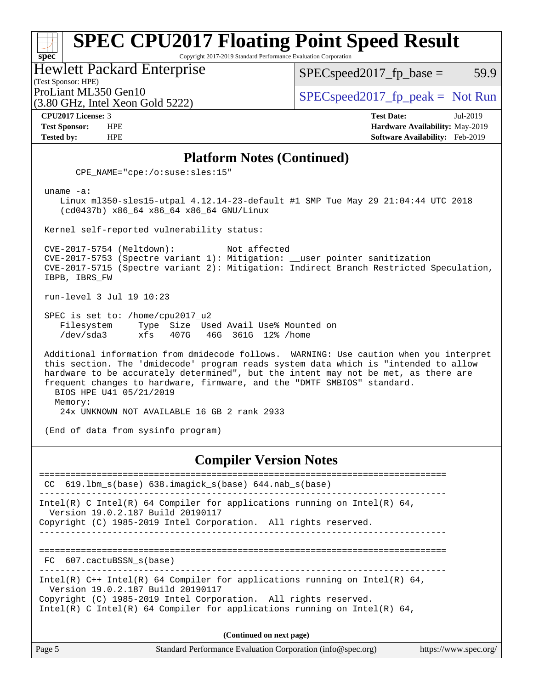#### **[spec](http://www.spec.org/) [SPEC CPU2017 Floating Point Speed Result](http://www.spec.org/auto/cpu2017/Docs/result-fields.html#SPECCPU2017FloatingPointSpeedResult)** Copyright 2017-2019 Standard Performance Evaluation Corporation Hewlett Packard Enterprise  $SPEC speed2017_fp\_base = 59.9$

(Test Sponsor: HPE)

(3.80 GHz, Intel Xeon Gold 5222)

ProLiant ML350 Gen10  $SPEC speed2017_f$   $peak = Not Run$ 

**[CPU2017 License:](http://www.spec.org/auto/cpu2017/Docs/result-fields.html#CPU2017License)** 3 **[Test Date:](http://www.spec.org/auto/cpu2017/Docs/result-fields.html#TestDate)** Jul-2019 **[Test Sponsor:](http://www.spec.org/auto/cpu2017/Docs/result-fields.html#TestSponsor)** HPE **[Hardware Availability:](http://www.spec.org/auto/cpu2017/Docs/result-fields.html#HardwareAvailability)** May-2019 **[Tested by:](http://www.spec.org/auto/cpu2017/Docs/result-fields.html#Testedby)** HPE **[Software Availability:](http://www.spec.org/auto/cpu2017/Docs/result-fields.html#SoftwareAvailability)** Feb-2019

#### **[Platform Notes \(Continued\)](http://www.spec.org/auto/cpu2017/Docs/result-fields.html#PlatformNotes)**

CPE\_NAME="cpe:/o:suse:sles:15"

uname -a:

 Linux ml350-sles15-utpal 4.12.14-23-default #1 SMP Tue May 29 21:04:44 UTC 2018 (cd0437b) x86\_64 x86\_64 x86\_64 GNU/Linux

Kernel self-reported vulnerability status:

 CVE-2017-5754 (Meltdown): Not affected CVE-2017-5753 (Spectre variant 1): Mitigation: \_\_user pointer sanitization CVE-2017-5715 (Spectre variant 2): Mitigation: Indirect Branch Restricted Speculation, IBPB, IBRS\_FW

run-level 3 Jul 19 10:23

 SPEC is set to: /home/cpu2017\_u2 Filesystem Type Size Used Avail Use% Mounted on /dev/sda3 xfs 407G 46G 361G 12% /home

 Additional information from dmidecode follows. WARNING: Use caution when you interpret this section. The 'dmidecode' program reads system data which is "intended to allow hardware to be accurately determined", but the intent may not be met, as there are frequent changes to hardware, firmware, and the "DMTF SMBIOS" standard. BIOS HPE U41 05/21/2019 Memory:

24x UNKNOWN NOT AVAILABLE 16 GB 2 rank 2933

(End of data from sysinfo program)

#### **[Compiler Version Notes](http://www.spec.org/auto/cpu2017/Docs/result-fields.html#CompilerVersionNotes)**

============================================================================== CC 619.lbm\_s(base) 638.imagick\_s(base) 644.nab\_s(base) ------------------------------------------------------------------------------ Intel(R) C Intel(R) 64 Compiler for applications running on Intel(R) 64, Version 19.0.2.187 Build 20190117 Copyright (C) 1985-2019 Intel Corporation. All rights reserved. ------------------------------------------------------------------------------ ============================================================================== FC 607.cactuBSSN\_s(base) ------------------------------------------------------------------------------ Intel(R)  $C++$  Intel(R) 64 Compiler for applications running on Intel(R) 64, Version 19.0.2.187 Build 20190117 Copyright (C) 1985-2019 Intel Corporation. All rights reserved. Intel(R) C Intel(R) 64 Compiler for applications running on Intel(R)  $64$ , **(Continued on next page)**

Page 5 Standard Performance Evaluation Corporation [\(info@spec.org\)](mailto:info@spec.org) <https://www.spec.org/>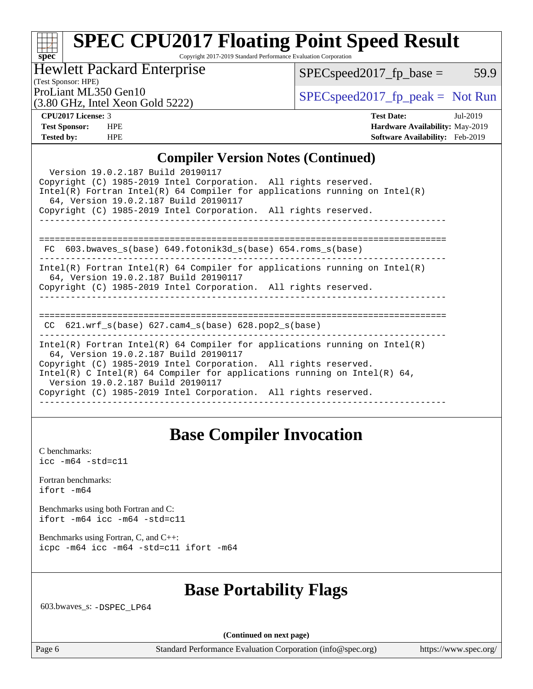#### **[spec](http://www.spec.org/) [SPEC CPU2017 Floating Point Speed Result](http://www.spec.org/auto/cpu2017/Docs/result-fields.html#SPECCPU2017FloatingPointSpeedResult)** Copyright 2017-2019 Standard Performance Evaluation Corporation

### Hewlett Packard Enterprise

 $SPECspeed2017_fp\_base = 59.9$ 

(Test Sponsor: HPE)

(3.80 GHz, Intel Xeon Gold 5222)

ProLiant ML350 Gen10  $SPEC speed2017$  [p\_peak = Not Run

| <b>CPU2017 License: 3</b> |
|---------------------------|
|---------------------------|

**[CPU2017 License:](http://www.spec.org/auto/cpu2017/Docs/result-fields.html#CPU2017License)** 3 **[Test Date:](http://www.spec.org/auto/cpu2017/Docs/result-fields.html#TestDate)** Jul-2019 **[Test Sponsor:](http://www.spec.org/auto/cpu2017/Docs/result-fields.html#TestSponsor)** HPE **[Hardware Availability:](http://www.spec.org/auto/cpu2017/Docs/result-fields.html#HardwareAvailability)** May-2019 **[Tested by:](http://www.spec.org/auto/cpu2017/Docs/result-fields.html#Testedby)** HPE **[Software Availability:](http://www.spec.org/auto/cpu2017/Docs/result-fields.html#SoftwareAvailability)** Feb-2019

#### **[Compiler Version Notes \(Continued\)](http://www.spec.org/auto/cpu2017/Docs/result-fields.html#CompilerVersionNotes)**

| Version 19.0.2.187 Build 20190117<br>Copyright (C) 1985-2019 Intel Corporation. All rights reserved.<br>$Intel(R)$ Fortran Intel(R) 64 Compiler for applications running on Intel(R)<br>64, Version 19.0.2.187 Build 20190117                                                                                                                                              |
|----------------------------------------------------------------------------------------------------------------------------------------------------------------------------------------------------------------------------------------------------------------------------------------------------------------------------------------------------------------------------|
| Copyright (C) 1985-2019 Intel Corporation. All rights reserved.                                                                                                                                                                                                                                                                                                            |
| 603.bwaves_s(base) 649.fotonik3d_s(base) 654.roms_s(base)<br>FC.                                                                                                                                                                                                                                                                                                           |
| Intel(R) Fortran Intel(R) 64 Compiler for applications running on Intel(R)<br>64, Version 19.0.2.187 Build 20190117<br>Copyright (C) 1985-2019 Intel Corporation. All rights reserved.                                                                                                                                                                                     |
| $CC$ 621.wrf_s(base) 627.cam4_s(base) 628.pop2_s(base)                                                                                                                                                                                                                                                                                                                     |
| Intel(R) Fortran Intel(R) 64 Compiler for applications running on Intel(R)<br>64, Version 19.0.2.187 Build 20190117<br>Copyright (C) 1985-2019 Intel Corporation. All rights reserved.<br>Intel(R) C Intel(R) 64 Compiler for applications running on Intel(R) 64,<br>Version 19.0.2.187 Build 20190117<br>Copyright (C) 1985-2019 Intel Corporation. All rights reserved. |

### **[Base Compiler Invocation](http://www.spec.org/auto/cpu2017/Docs/result-fields.html#BaseCompilerInvocation)**

[C benchmarks](http://www.spec.org/auto/cpu2017/Docs/result-fields.html#Cbenchmarks): [icc -m64 -std=c11](http://www.spec.org/cpu2017/results/res2019q3/cpu2017-20190723-16334.flags.html#user_CCbase_intel_icc_64bit_c11_33ee0cdaae7deeeab2a9725423ba97205ce30f63b9926c2519791662299b76a0318f32ddfffdc46587804de3178b4f9328c46fa7c2b0cd779d7a61945c91cd35)

[Fortran benchmarks](http://www.spec.org/auto/cpu2017/Docs/result-fields.html#Fortranbenchmarks): [ifort -m64](http://www.spec.org/cpu2017/results/res2019q3/cpu2017-20190723-16334.flags.html#user_FCbase_intel_ifort_64bit_24f2bb282fbaeffd6157abe4f878425411749daecae9a33200eee2bee2fe76f3b89351d69a8130dd5949958ce389cf37ff59a95e7a40d588e8d3a57e0c3fd751)

[Benchmarks using both Fortran and C](http://www.spec.org/auto/cpu2017/Docs/result-fields.html#BenchmarksusingbothFortranandC): [ifort -m64](http://www.spec.org/cpu2017/results/res2019q3/cpu2017-20190723-16334.flags.html#user_CC_FCbase_intel_ifort_64bit_24f2bb282fbaeffd6157abe4f878425411749daecae9a33200eee2bee2fe76f3b89351d69a8130dd5949958ce389cf37ff59a95e7a40d588e8d3a57e0c3fd751) [icc -m64 -std=c11](http://www.spec.org/cpu2017/results/res2019q3/cpu2017-20190723-16334.flags.html#user_CC_FCbase_intel_icc_64bit_c11_33ee0cdaae7deeeab2a9725423ba97205ce30f63b9926c2519791662299b76a0318f32ddfffdc46587804de3178b4f9328c46fa7c2b0cd779d7a61945c91cd35)

[Benchmarks using Fortran, C, and C++:](http://www.spec.org/auto/cpu2017/Docs/result-fields.html#BenchmarksusingFortranCandCXX) [icpc -m64](http://www.spec.org/cpu2017/results/res2019q3/cpu2017-20190723-16334.flags.html#user_CC_CXX_FCbase_intel_icpc_64bit_4ecb2543ae3f1412ef961e0650ca070fec7b7afdcd6ed48761b84423119d1bf6bdf5cad15b44d48e7256388bc77273b966e5eb805aefd121eb22e9299b2ec9d9) [icc -m64 -std=c11](http://www.spec.org/cpu2017/results/res2019q3/cpu2017-20190723-16334.flags.html#user_CC_CXX_FCbase_intel_icc_64bit_c11_33ee0cdaae7deeeab2a9725423ba97205ce30f63b9926c2519791662299b76a0318f32ddfffdc46587804de3178b4f9328c46fa7c2b0cd779d7a61945c91cd35) [ifort -m64](http://www.spec.org/cpu2017/results/res2019q3/cpu2017-20190723-16334.flags.html#user_CC_CXX_FCbase_intel_ifort_64bit_24f2bb282fbaeffd6157abe4f878425411749daecae9a33200eee2bee2fe76f3b89351d69a8130dd5949958ce389cf37ff59a95e7a40d588e8d3a57e0c3fd751)

## **[Base Portability Flags](http://www.spec.org/auto/cpu2017/Docs/result-fields.html#BasePortabilityFlags)**

603.bwaves\_s: [-DSPEC\\_LP64](http://www.spec.org/cpu2017/results/res2019q3/cpu2017-20190723-16334.flags.html#suite_basePORTABILITY603_bwaves_s_DSPEC_LP64)

**(Continued on next page)**

Page 6 Standard Performance Evaluation Corporation [\(info@spec.org\)](mailto:info@spec.org) <https://www.spec.org/>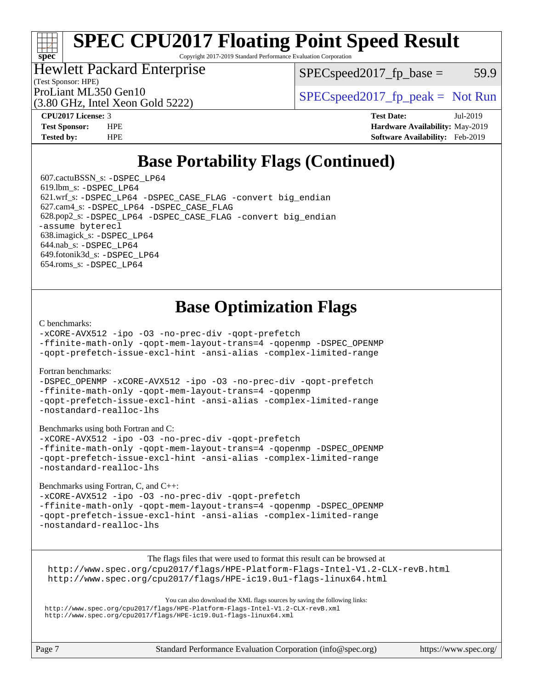# **[SPEC CPU2017 Floating Point Speed Result](http://www.spec.org/auto/cpu2017/Docs/result-fields.html#SPECCPU2017FloatingPointSpeedResult)**

Copyright 2017-2019 Standard Performance Evaluation Corporation

### Hewlett Packard Enterprise

 $SPEC speed2017_fp\_base = 59.9$ 

(Test Sponsor: HPE)

(3.80 GHz, Intel Xeon Gold 5222)

ProLiant ML350 Gen10  $SPEC speed2017$  [p\_peak = Not Run

**[spec](http://www.spec.org/)**

**[CPU2017 License:](http://www.spec.org/auto/cpu2017/Docs/result-fields.html#CPU2017License)** 3 **[Test Date:](http://www.spec.org/auto/cpu2017/Docs/result-fields.html#TestDate)** Jul-2019 **[Test Sponsor:](http://www.spec.org/auto/cpu2017/Docs/result-fields.html#TestSponsor)** HPE **[Hardware Availability:](http://www.spec.org/auto/cpu2017/Docs/result-fields.html#HardwareAvailability)** May-2019 **[Tested by:](http://www.spec.org/auto/cpu2017/Docs/result-fields.html#Testedby)** HPE **[Software Availability:](http://www.spec.org/auto/cpu2017/Docs/result-fields.html#SoftwareAvailability)** Feb-2019

# **[Base Portability Flags \(Continued\)](http://www.spec.org/auto/cpu2017/Docs/result-fields.html#BasePortabilityFlags)**

 607.cactuBSSN\_s: [-DSPEC\\_LP64](http://www.spec.org/cpu2017/results/res2019q3/cpu2017-20190723-16334.flags.html#suite_basePORTABILITY607_cactuBSSN_s_DSPEC_LP64) 619.lbm\_s: [-DSPEC\\_LP64](http://www.spec.org/cpu2017/results/res2019q3/cpu2017-20190723-16334.flags.html#suite_basePORTABILITY619_lbm_s_DSPEC_LP64) 621.wrf\_s: [-DSPEC\\_LP64](http://www.spec.org/cpu2017/results/res2019q3/cpu2017-20190723-16334.flags.html#suite_basePORTABILITY621_wrf_s_DSPEC_LP64) [-DSPEC\\_CASE\\_FLAG](http://www.spec.org/cpu2017/results/res2019q3/cpu2017-20190723-16334.flags.html#b621.wrf_s_baseCPORTABILITY_DSPEC_CASE_FLAG) [-convert big\\_endian](http://www.spec.org/cpu2017/results/res2019q3/cpu2017-20190723-16334.flags.html#user_baseFPORTABILITY621_wrf_s_convert_big_endian_c3194028bc08c63ac5d04de18c48ce6d347e4e562e8892b8bdbdc0214820426deb8554edfa529a3fb25a586e65a3d812c835984020483e7e73212c4d31a38223) 627.cam4\_s: [-DSPEC\\_LP64](http://www.spec.org/cpu2017/results/res2019q3/cpu2017-20190723-16334.flags.html#suite_basePORTABILITY627_cam4_s_DSPEC_LP64) [-DSPEC\\_CASE\\_FLAG](http://www.spec.org/cpu2017/results/res2019q3/cpu2017-20190723-16334.flags.html#b627.cam4_s_baseCPORTABILITY_DSPEC_CASE_FLAG) 628.pop2\_s: [-DSPEC\\_LP64](http://www.spec.org/cpu2017/results/res2019q3/cpu2017-20190723-16334.flags.html#suite_basePORTABILITY628_pop2_s_DSPEC_LP64) [-DSPEC\\_CASE\\_FLAG](http://www.spec.org/cpu2017/results/res2019q3/cpu2017-20190723-16334.flags.html#b628.pop2_s_baseCPORTABILITY_DSPEC_CASE_FLAG) [-convert big\\_endian](http://www.spec.org/cpu2017/results/res2019q3/cpu2017-20190723-16334.flags.html#user_baseFPORTABILITY628_pop2_s_convert_big_endian_c3194028bc08c63ac5d04de18c48ce6d347e4e562e8892b8bdbdc0214820426deb8554edfa529a3fb25a586e65a3d812c835984020483e7e73212c4d31a38223) [-assume byterecl](http://www.spec.org/cpu2017/results/res2019q3/cpu2017-20190723-16334.flags.html#user_baseFPORTABILITY628_pop2_s_assume_byterecl_7e47d18b9513cf18525430bbf0f2177aa9bf368bc7a059c09b2c06a34b53bd3447c950d3f8d6c70e3faf3a05c8557d66a5798b567902e8849adc142926523472) 638.imagick\_s: [-DSPEC\\_LP64](http://www.spec.org/cpu2017/results/res2019q3/cpu2017-20190723-16334.flags.html#suite_basePORTABILITY638_imagick_s_DSPEC_LP64) 644.nab\_s: [-DSPEC\\_LP64](http://www.spec.org/cpu2017/results/res2019q3/cpu2017-20190723-16334.flags.html#suite_basePORTABILITY644_nab_s_DSPEC_LP64) 649.fotonik3d\_s: [-DSPEC\\_LP64](http://www.spec.org/cpu2017/results/res2019q3/cpu2017-20190723-16334.flags.html#suite_basePORTABILITY649_fotonik3d_s_DSPEC_LP64) 654.roms\_s: [-DSPEC\\_LP64](http://www.spec.org/cpu2017/results/res2019q3/cpu2017-20190723-16334.flags.html#suite_basePORTABILITY654_roms_s_DSPEC_LP64)

# **[Base Optimization Flags](http://www.spec.org/auto/cpu2017/Docs/result-fields.html#BaseOptimizationFlags)**

#### [C benchmarks](http://www.spec.org/auto/cpu2017/Docs/result-fields.html#Cbenchmarks):

[-xCORE-AVX512](http://www.spec.org/cpu2017/results/res2019q3/cpu2017-20190723-16334.flags.html#user_CCbase_f-xCORE-AVX512) [-ipo](http://www.spec.org/cpu2017/results/res2019q3/cpu2017-20190723-16334.flags.html#user_CCbase_f-ipo) [-O3](http://www.spec.org/cpu2017/results/res2019q3/cpu2017-20190723-16334.flags.html#user_CCbase_f-O3) [-no-prec-div](http://www.spec.org/cpu2017/results/res2019q3/cpu2017-20190723-16334.flags.html#user_CCbase_f-no-prec-div) [-qopt-prefetch](http://www.spec.org/cpu2017/results/res2019q3/cpu2017-20190723-16334.flags.html#user_CCbase_f-qopt-prefetch)

[-ffinite-math-only](http://www.spec.org/cpu2017/results/res2019q3/cpu2017-20190723-16334.flags.html#user_CCbase_f_finite_math_only_cb91587bd2077682c4b38af759c288ed7c732db004271a9512da14a4f8007909a5f1427ecbf1a0fb78ff2a814402c6114ac565ca162485bbcae155b5e4258871) [-qopt-mem-layout-trans=4](http://www.spec.org/cpu2017/results/res2019q3/cpu2017-20190723-16334.flags.html#user_CCbase_f-qopt-mem-layout-trans_fa39e755916c150a61361b7846f310bcdf6f04e385ef281cadf3647acec3f0ae266d1a1d22d972a7087a248fd4e6ca390a3634700869573d231a252c784941a8) [-qopenmp](http://www.spec.org/cpu2017/results/res2019q3/cpu2017-20190723-16334.flags.html#user_CCbase_qopenmp_16be0c44f24f464004c6784a7acb94aca937f053568ce72f94b139a11c7c168634a55f6653758ddd83bcf7b8463e8028bb0b48b77bcddc6b78d5d95bb1df2967) [-DSPEC\\_OPENMP](http://www.spec.org/cpu2017/results/res2019q3/cpu2017-20190723-16334.flags.html#suite_CCbase_DSPEC_OPENMP)

[-qopt-prefetch-issue-excl-hint](http://www.spec.org/cpu2017/results/res2019q3/cpu2017-20190723-16334.flags.html#user_CCbase_f-qopt-prefetch-issue-excl-hint) [-ansi-alias](http://www.spec.org/cpu2017/results/res2019q3/cpu2017-20190723-16334.flags.html#user_CCbase_f-ansi-alias) [-complex-limited-range](http://www.spec.org/cpu2017/results/res2019q3/cpu2017-20190723-16334.flags.html#user_CCbase_f-complex-limited-range)

#### [Fortran benchmarks](http://www.spec.org/auto/cpu2017/Docs/result-fields.html#Fortranbenchmarks):

[-DSPEC\\_OPENMP](http://www.spec.org/cpu2017/results/res2019q3/cpu2017-20190723-16334.flags.html#suite_FCbase_DSPEC_OPENMP) [-xCORE-AVX512](http://www.spec.org/cpu2017/results/res2019q3/cpu2017-20190723-16334.flags.html#user_FCbase_f-xCORE-AVX512) [-ipo](http://www.spec.org/cpu2017/results/res2019q3/cpu2017-20190723-16334.flags.html#user_FCbase_f-ipo) [-O3](http://www.spec.org/cpu2017/results/res2019q3/cpu2017-20190723-16334.flags.html#user_FCbase_f-O3) [-no-prec-div](http://www.spec.org/cpu2017/results/res2019q3/cpu2017-20190723-16334.flags.html#user_FCbase_f-no-prec-div) [-qopt-prefetch](http://www.spec.org/cpu2017/results/res2019q3/cpu2017-20190723-16334.flags.html#user_FCbase_f-qopt-prefetch) [-ffinite-math-only](http://www.spec.org/cpu2017/results/res2019q3/cpu2017-20190723-16334.flags.html#user_FCbase_f_finite_math_only_cb91587bd2077682c4b38af759c288ed7c732db004271a9512da14a4f8007909a5f1427ecbf1a0fb78ff2a814402c6114ac565ca162485bbcae155b5e4258871) [-qopt-mem-layout-trans=4](http://www.spec.org/cpu2017/results/res2019q3/cpu2017-20190723-16334.flags.html#user_FCbase_f-qopt-mem-layout-trans_fa39e755916c150a61361b7846f310bcdf6f04e385ef281cadf3647acec3f0ae266d1a1d22d972a7087a248fd4e6ca390a3634700869573d231a252c784941a8) [-qopenmp](http://www.spec.org/cpu2017/results/res2019q3/cpu2017-20190723-16334.flags.html#user_FCbase_qopenmp_16be0c44f24f464004c6784a7acb94aca937f053568ce72f94b139a11c7c168634a55f6653758ddd83bcf7b8463e8028bb0b48b77bcddc6b78d5d95bb1df2967) [-qopt-prefetch-issue-excl-hint](http://www.spec.org/cpu2017/results/res2019q3/cpu2017-20190723-16334.flags.html#user_FCbase_f-qopt-prefetch-issue-excl-hint) [-ansi-alias](http://www.spec.org/cpu2017/results/res2019q3/cpu2017-20190723-16334.flags.html#user_FCbase_f-ansi-alias) [-complex-limited-range](http://www.spec.org/cpu2017/results/res2019q3/cpu2017-20190723-16334.flags.html#user_FCbase_f-complex-limited-range) [-nostandard-realloc-lhs](http://www.spec.org/cpu2017/results/res2019q3/cpu2017-20190723-16334.flags.html#user_FCbase_f_2003_std_realloc_82b4557e90729c0f113870c07e44d33d6f5a304b4f63d4c15d2d0f1fab99f5daaed73bdb9275d9ae411527f28b936061aa8b9c8f2d63842963b95c9dd6426b8a)

[Benchmarks using both Fortran and C](http://www.spec.org/auto/cpu2017/Docs/result-fields.html#BenchmarksusingbothFortranandC):

[-xCORE-AVX512](http://www.spec.org/cpu2017/results/res2019q3/cpu2017-20190723-16334.flags.html#user_CC_FCbase_f-xCORE-AVX512) [-ipo](http://www.spec.org/cpu2017/results/res2019q3/cpu2017-20190723-16334.flags.html#user_CC_FCbase_f-ipo) [-O3](http://www.spec.org/cpu2017/results/res2019q3/cpu2017-20190723-16334.flags.html#user_CC_FCbase_f-O3) [-no-prec-div](http://www.spec.org/cpu2017/results/res2019q3/cpu2017-20190723-16334.flags.html#user_CC_FCbase_f-no-prec-div) [-qopt-prefetch](http://www.spec.org/cpu2017/results/res2019q3/cpu2017-20190723-16334.flags.html#user_CC_FCbase_f-qopt-prefetch) [-ffinite-math-only](http://www.spec.org/cpu2017/results/res2019q3/cpu2017-20190723-16334.flags.html#user_CC_FCbase_f_finite_math_only_cb91587bd2077682c4b38af759c288ed7c732db004271a9512da14a4f8007909a5f1427ecbf1a0fb78ff2a814402c6114ac565ca162485bbcae155b5e4258871) [-qopt-mem-layout-trans=4](http://www.spec.org/cpu2017/results/res2019q3/cpu2017-20190723-16334.flags.html#user_CC_FCbase_f-qopt-mem-layout-trans_fa39e755916c150a61361b7846f310bcdf6f04e385ef281cadf3647acec3f0ae266d1a1d22d972a7087a248fd4e6ca390a3634700869573d231a252c784941a8) [-qopenmp](http://www.spec.org/cpu2017/results/res2019q3/cpu2017-20190723-16334.flags.html#user_CC_FCbase_qopenmp_16be0c44f24f464004c6784a7acb94aca937f053568ce72f94b139a11c7c168634a55f6653758ddd83bcf7b8463e8028bb0b48b77bcddc6b78d5d95bb1df2967) [-DSPEC\\_OPENMP](http://www.spec.org/cpu2017/results/res2019q3/cpu2017-20190723-16334.flags.html#suite_CC_FCbase_DSPEC_OPENMP) [-qopt-prefetch-issue-excl-hint](http://www.spec.org/cpu2017/results/res2019q3/cpu2017-20190723-16334.flags.html#user_CC_FCbase_f-qopt-prefetch-issue-excl-hint) [-ansi-alias](http://www.spec.org/cpu2017/results/res2019q3/cpu2017-20190723-16334.flags.html#user_CC_FCbase_f-ansi-alias) [-complex-limited-range](http://www.spec.org/cpu2017/results/res2019q3/cpu2017-20190723-16334.flags.html#user_CC_FCbase_f-complex-limited-range) [-nostandard-realloc-lhs](http://www.spec.org/cpu2017/results/res2019q3/cpu2017-20190723-16334.flags.html#user_CC_FCbase_f_2003_std_realloc_82b4557e90729c0f113870c07e44d33d6f5a304b4f63d4c15d2d0f1fab99f5daaed73bdb9275d9ae411527f28b936061aa8b9c8f2d63842963b95c9dd6426b8a)

[Benchmarks using Fortran, C, and C++:](http://www.spec.org/auto/cpu2017/Docs/result-fields.html#BenchmarksusingFortranCandCXX)

[-xCORE-AVX512](http://www.spec.org/cpu2017/results/res2019q3/cpu2017-20190723-16334.flags.html#user_CC_CXX_FCbase_f-xCORE-AVX512) [-ipo](http://www.spec.org/cpu2017/results/res2019q3/cpu2017-20190723-16334.flags.html#user_CC_CXX_FCbase_f-ipo) [-O3](http://www.spec.org/cpu2017/results/res2019q3/cpu2017-20190723-16334.flags.html#user_CC_CXX_FCbase_f-O3) [-no-prec-div](http://www.spec.org/cpu2017/results/res2019q3/cpu2017-20190723-16334.flags.html#user_CC_CXX_FCbase_f-no-prec-div) [-qopt-prefetch](http://www.spec.org/cpu2017/results/res2019q3/cpu2017-20190723-16334.flags.html#user_CC_CXX_FCbase_f-qopt-prefetch) [-ffinite-math-only](http://www.spec.org/cpu2017/results/res2019q3/cpu2017-20190723-16334.flags.html#user_CC_CXX_FCbase_f_finite_math_only_cb91587bd2077682c4b38af759c288ed7c732db004271a9512da14a4f8007909a5f1427ecbf1a0fb78ff2a814402c6114ac565ca162485bbcae155b5e4258871) [-qopt-mem-layout-trans=4](http://www.spec.org/cpu2017/results/res2019q3/cpu2017-20190723-16334.flags.html#user_CC_CXX_FCbase_f-qopt-mem-layout-trans_fa39e755916c150a61361b7846f310bcdf6f04e385ef281cadf3647acec3f0ae266d1a1d22d972a7087a248fd4e6ca390a3634700869573d231a252c784941a8) [-qopenmp](http://www.spec.org/cpu2017/results/res2019q3/cpu2017-20190723-16334.flags.html#user_CC_CXX_FCbase_qopenmp_16be0c44f24f464004c6784a7acb94aca937f053568ce72f94b139a11c7c168634a55f6653758ddd83bcf7b8463e8028bb0b48b77bcddc6b78d5d95bb1df2967) [-DSPEC\\_OPENMP](http://www.spec.org/cpu2017/results/res2019q3/cpu2017-20190723-16334.flags.html#suite_CC_CXX_FCbase_DSPEC_OPENMP) [-qopt-prefetch-issue-excl-hint](http://www.spec.org/cpu2017/results/res2019q3/cpu2017-20190723-16334.flags.html#user_CC_CXX_FCbase_f-qopt-prefetch-issue-excl-hint) [-ansi-alias](http://www.spec.org/cpu2017/results/res2019q3/cpu2017-20190723-16334.flags.html#user_CC_CXX_FCbase_f-ansi-alias) [-complex-limited-range](http://www.spec.org/cpu2017/results/res2019q3/cpu2017-20190723-16334.flags.html#user_CC_CXX_FCbase_f-complex-limited-range) [-nostandard-realloc-lhs](http://www.spec.org/cpu2017/results/res2019q3/cpu2017-20190723-16334.flags.html#user_CC_CXX_FCbase_f_2003_std_realloc_82b4557e90729c0f113870c07e44d33d6f5a304b4f63d4c15d2d0f1fab99f5daaed73bdb9275d9ae411527f28b936061aa8b9c8f2d63842963b95c9dd6426b8a)

The flags files that were used to format this result can be browsed at

<http://www.spec.org/cpu2017/flags/HPE-Platform-Flags-Intel-V1.2-CLX-revB.html> <http://www.spec.org/cpu2017/flags/HPE-ic19.0u1-flags-linux64.html>

You can also download the XML flags sources by saving the following links: <http://www.spec.org/cpu2017/flags/HPE-Platform-Flags-Intel-V1.2-CLX-revB.xml> <http://www.spec.org/cpu2017/flags/HPE-ic19.0u1-flags-linux64.xml>